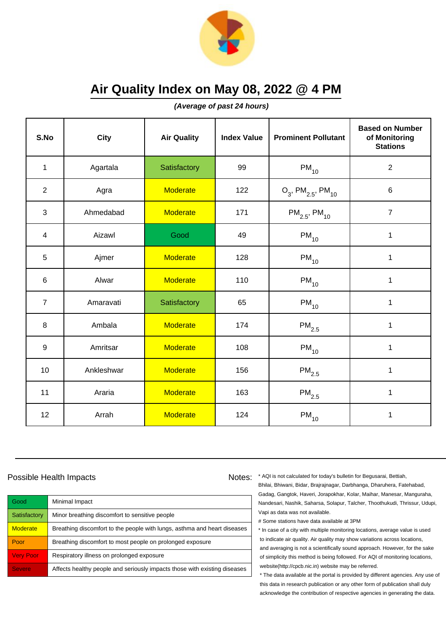

**(Average of past 24 hours)**

| S.No             | City       | <b>Air Quality</b> | <b>Index Value</b> | <b>Prominent Pollutant</b>                   | <b>Based on Number</b><br>of Monitoring<br><b>Stations</b> |
|------------------|------------|--------------------|--------------------|----------------------------------------------|------------------------------------------------------------|
| $\mathbf{1}$     | Agartala   | Satisfactory       | 99                 | $PM_{10}$                                    | $\sqrt{2}$                                                 |
| $\overline{2}$   | Agra       | <b>Moderate</b>    | 122                | $O_3$ , PM <sub>2.5</sub> , PM <sub>10</sub> | $\,6$                                                      |
| 3                | Ahmedabad  | <b>Moderate</b>    | 171                | $PM_{2.5}$ , PM <sub>10</sub>                | $\overline{7}$                                             |
| 4                | Aizawl     | Good               | 49                 | $PM_{10}$                                    | 1                                                          |
| 5                | Ajmer      | <b>Moderate</b>    | 128                | $PM_{10}$                                    | $\mathbf{1}$                                               |
| 6                | Alwar      | <b>Moderate</b>    | 110                | $PM_{10}$                                    | 1                                                          |
| $\overline{7}$   | Amaravati  | Satisfactory       | 65                 | $PM_{10}$                                    | 1                                                          |
| 8                | Ambala     | <b>Moderate</b>    | 174                | $PM_{2.5}$                                   | 1                                                          |
| $\boldsymbol{9}$ | Amritsar   | <b>Moderate</b>    | 108                | $PM_{10}$                                    | $\mathbf 1$                                                |
| 10               | Ankleshwar | <b>Moderate</b>    | 156                | $\mathsf{PM}_{2.5}$                          | 1                                                          |
| 11               | Araria     | <b>Moderate</b>    | 163                | $\mathsf{PM}_{2.5}$                          | 1                                                          |
| 12               | Arrah      | <b>Moderate</b>    | 124                | $PM_{10}$                                    | 1                                                          |

### Possible Health Impacts

| Good             | Minimal Impact                                                            |
|------------------|---------------------------------------------------------------------------|
| Satisfactory     | Minor breathing discomfort to sensitive people                            |
| <b>Moderate</b>  | Breathing discomfort to the people with lungs, asthma and heart diseases  |
| Poor             | Breathing discomfort to most people on prolonged exposure                 |
| <b>Very Poor</b> | Respiratory illness on prolonged exposure                                 |
| <b>Severe</b>    | Affects healthy people and seriously impacts those with existing diseases |

Notes: \* AQI is not calculated for today's bulletin for Begusarai, Bettiah, Bhilai, Bhiwani, Bidar, Brajrajnagar, Darbhanga, Dharuhera, Fatehabad, Gadag, Gangtok, Haveri, Jorapokhar, Kolar, Maihar, Manesar, Manguraha, Nandesari, Nashik, Saharsa, Solapur, Talcher, Thoothukudi, Thrissur, Udupi, Vapi as data was not available.

# Some stations have data available at 3PM

\* In case of a city with multiple monitoring locations, average value is used to indicate air quality. Air quality may show variations across locations, and averaging is not a scientifically sound approach. However, for the sake of simplicity this method is being followed. For AQI of monitoring locations, website(http://cpcb.nic.in) website may be referred.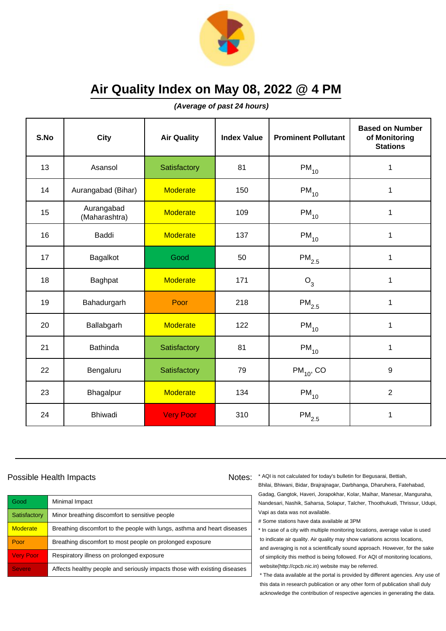

**(Average of past 24 hours)**

| S.No | <b>City</b>                 | <b>Air Quality</b> | <b>Index Value</b> | <b>Prominent Pollutant</b> | <b>Based on Number</b><br>of Monitoring<br><b>Stations</b> |
|------|-----------------------------|--------------------|--------------------|----------------------------|------------------------------------------------------------|
| 13   | Asansol                     | Satisfactory       | 81                 | $PM_{10}$                  | 1                                                          |
| 14   | Aurangabad (Bihar)          | <b>Moderate</b>    | 150                | $\mathsf{PM}_{10}$         | 1                                                          |
| 15   | Aurangabad<br>(Maharashtra) | <b>Moderate</b>    | 109                | $PM_{10}$                  | 1                                                          |
| 16   | Baddi                       | <b>Moderate</b>    | 137                | $PM_{10}$                  | 1                                                          |
| 17   | Bagalkot                    | Good               | 50                 | $\mathsf{PM}_{2.5}$        | $\mathbf{1}$                                               |
| 18   | Baghpat                     | <b>Moderate</b>    | 171                | $O_3$                      | $\mathbf{1}$                                               |
| 19   | Bahadurgarh                 | Poor               | 218                | $\mathsf{PM}_{2.5}$        | 1                                                          |
| 20   | Ballabgarh                  | <b>Moderate</b>    | 122                | $PM_{10}$                  | 1                                                          |
| 21   | <b>Bathinda</b>             | Satisfactory       | 81                 | $PM_{10}$                  | 1                                                          |
| 22   | Bengaluru                   | Satisfactory       | 79                 | $PM_{10}$ , CO             | 9                                                          |
| 23   | Bhagalpur                   | <b>Moderate</b>    | 134                | $\mathsf{PM}_{10}$         | $\overline{2}$                                             |
| 24   | <b>Bhiwadi</b>              | <b>Very Poor</b>   | 310                | $\mathsf{PM}_{2.5}$        | 1                                                          |

## Possible Health Impacts

| Good             | Minimal Impact                                                            |
|------------------|---------------------------------------------------------------------------|
| Satisfactory     | Minor breathing discomfort to sensitive people                            |
| <b>Moderate</b>  | Breathing discomfort to the people with lungs, asthma and heart diseases  |
| Poor             | Breathing discomfort to most people on prolonged exposure                 |
| <b>Very Poor</b> | Respiratory illness on prolonged exposure                                 |
| <b>Severe</b>    | Affects healthy people and seriously impacts those with existing diseases |

Notes: \* AQI is not calculated for today's bulletin for Begusarai, Bettiah, Bhilai, Bhiwani, Bidar, Brajrajnagar, Darbhanga, Dharuhera, Fatehabad, Gadag, Gangtok, Haveri, Jorapokhar, Kolar, Maihar, Manesar, Manguraha, Nandesari, Nashik, Saharsa, Solapur, Talcher, Thoothukudi, Thrissur, Udupi, Vapi as data was not available.

# Some stations have data available at 3PM

\* In case of a city with multiple monitoring locations, average value is used to indicate air quality. Air quality may show variations across locations, and averaging is not a scientifically sound approach. However, for the sake of simplicity this method is being followed. For AQI of monitoring locations, website(http://cpcb.nic.in) website may be referred.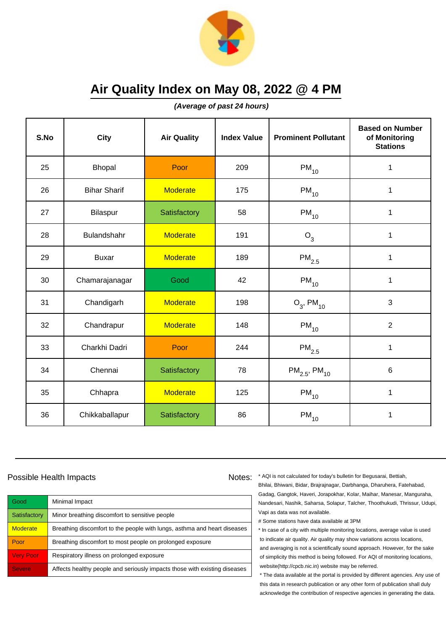

**(Average of past 24 hours)**

| S.No | <b>City</b>         | <b>Air Quality</b> | <b>Index Value</b> | <b>Prominent Pollutant</b>    | <b>Based on Number</b><br>of Monitoring<br><b>Stations</b> |
|------|---------------------|--------------------|--------------------|-------------------------------|------------------------------------------------------------|
| 25   | <b>Bhopal</b>       | Poor               | 209                | $PM_{10}$                     | 1                                                          |
| 26   | <b>Bihar Sharif</b> | <b>Moderate</b>    | 175                | $\mathsf{PM}_{10}$            | 1                                                          |
| 27   | Bilaspur            | Satisfactory       | 58                 | $\mathsf{PM}_{10}$            | 1                                                          |
| 28   | Bulandshahr         | <b>Moderate</b>    | 191                | O <sub>3</sub>                | 1                                                          |
| 29   | <b>Buxar</b>        | <b>Moderate</b>    | 189                | $PM_{2.5}$                    | $\mathbf 1$                                                |
| 30   | Chamarajanagar      | Good               | 42                 | $\mathsf{PM}_{10}$            | 1                                                          |
| 31   | Chandigarh          | <b>Moderate</b>    | 198                | $O_3$ , PM <sub>10</sub>      | 3                                                          |
| 32   | Chandrapur          | <b>Moderate</b>    | 148                | $PM_{10}$                     | $\overline{2}$                                             |
| 33   | Charkhi Dadri       | Poor               | 244                | $PM_{2.5}$                    | $\mathbf 1$                                                |
| 34   | Chennai             | Satisfactory       | 78                 | $PM_{2.5}$ , PM <sub>10</sub> | 6                                                          |
| 35   | Chhapra             | <b>Moderate</b>    | 125                | $PM_{10}$                     | 1                                                          |
| 36   | Chikkaballapur      | Satisfactory       | 86                 | $\mathsf{PM}_{10}$            | 1                                                          |

### Possible Health Impacts

| Good             | Minimal Impact                                                            |
|------------------|---------------------------------------------------------------------------|
| Satisfactory     | Minor breathing discomfort to sensitive people                            |
| <b>Moderate</b>  | Breathing discomfort to the people with lungs, asthma and heart diseases  |
| Poor             | Breathing discomfort to most people on prolonged exposure                 |
| <b>Very Poor</b> | Respiratory illness on prolonged exposure                                 |
| <b>Severe</b>    | Affects healthy people and seriously impacts those with existing diseases |

Notes: \* AQI is not calculated for today's bulletin for Begusarai, Bettiah, Bhilai, Bhiwani, Bidar, Brajrajnagar, Darbhanga, Dharuhera, Fatehabad, Gadag, Gangtok, Haveri, Jorapokhar, Kolar, Maihar, Manesar, Manguraha, Nandesari, Nashik, Saharsa, Solapur, Talcher, Thoothukudi, Thrissur, Udupi, Vapi as data was not available.

# Some stations have data available at 3PM

\* In case of a city with multiple monitoring locations, average value is used to indicate air quality. Air quality may show variations across locations, and averaging is not a scientifically sound approach. However, for the sake of simplicity this method is being followed. For AQI of monitoring locations, website(http://cpcb.nic.in) website may be referred.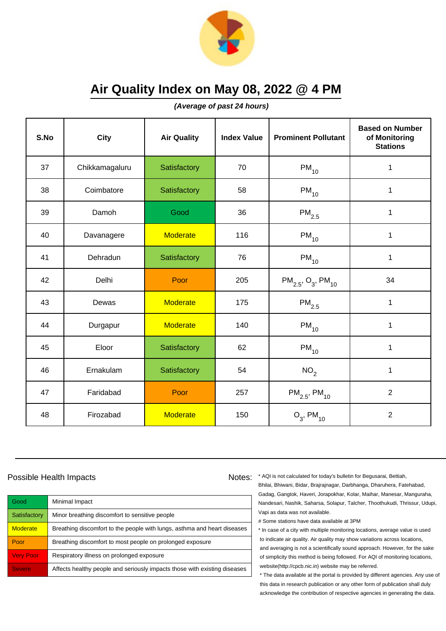

**(Average of past 24 hours)**

| S.No | City           | <b>Air Quality</b> | <b>Index Value</b> | <b>Prominent Pollutant</b>                     | <b>Based on Number</b><br>of Monitoring<br><b>Stations</b> |
|------|----------------|--------------------|--------------------|------------------------------------------------|------------------------------------------------------------|
| 37   | Chikkamagaluru | Satisfactory       | 70                 | $PM_{10}$                                      | $\mathbf 1$                                                |
| 38   | Coimbatore     | Satisfactory       | 58                 | $PM_{10}$                                      | 1                                                          |
| 39   | Damoh          | Good               | 36                 | $\mathsf{PM}_{2.5}$                            | 1                                                          |
| 40   | Davanagere     | <b>Moderate</b>    | 116                | $PM_{10}$                                      | $\mathbf{1}$                                               |
| 41   | Dehradun       | Satisfactory       | 76                 | $PM_{10}$                                      | $\mathbf{1}$                                               |
| 42   | Delhi          | Poor               | 205                | $PM_{2.5}$ , O <sub>3</sub> , PM <sub>10</sub> | 34                                                         |
| 43   | Dewas          | <b>Moderate</b>    | 175                | $\mathsf{PM}_{2.5}$                            | $\mathbf{1}$                                               |
| 44   | Durgapur       | <b>Moderate</b>    | 140                | $PM_{10}$                                      | $\mathbf{1}$                                               |
| 45   | Eloor          | Satisfactory       | 62                 | $PM_{10}$                                      | $\mathbf{1}$                                               |
| 46   | Ernakulam      | Satisfactory       | 54                 | NO <sub>2</sub>                                | $\mathbf 1$                                                |
| 47   | Faridabad      | Poor               | 257                | $PM_{2.5}$ , PM <sub>10</sub>                  | $\overline{2}$                                             |
| 48   | Firozabad      | <b>Moderate</b>    | 150                | $O_3$ , PM <sub>10</sub>                       | $\overline{2}$                                             |

## Possible Health Impacts

| Good             | Minimal Impact                                                            |
|------------------|---------------------------------------------------------------------------|
| Satisfactory     | Minor breathing discomfort to sensitive people                            |
| <b>Moderate</b>  | Breathing discomfort to the people with lungs, asthma and heart diseases  |
| Poor             | Breathing discomfort to most people on prolonged exposure                 |
| <b>Very Poor</b> | Respiratory illness on prolonged exposure                                 |
| <b>Severe</b>    | Affects healthy people and seriously impacts those with existing diseases |

Notes: \* AQI is not calculated for today's bulletin for Begusarai, Bettiah, Bhilai, Bhiwani, Bidar, Brajrajnagar, Darbhanga, Dharuhera, Fatehabad, Gadag, Gangtok, Haveri, Jorapokhar, Kolar, Maihar, Manesar, Manguraha, Nandesari, Nashik, Saharsa, Solapur, Talcher, Thoothukudi, Thrissur, Udupi, Vapi as data was not available.

# Some stations have data available at 3PM

\* In case of a city with multiple monitoring locations, average value is used to indicate air quality. Air quality may show variations across locations, and averaging is not a scientifically sound approach. However, for the sake of simplicity this method is being followed. For AQI of monitoring locations, website(http://cpcb.nic.in) website may be referred.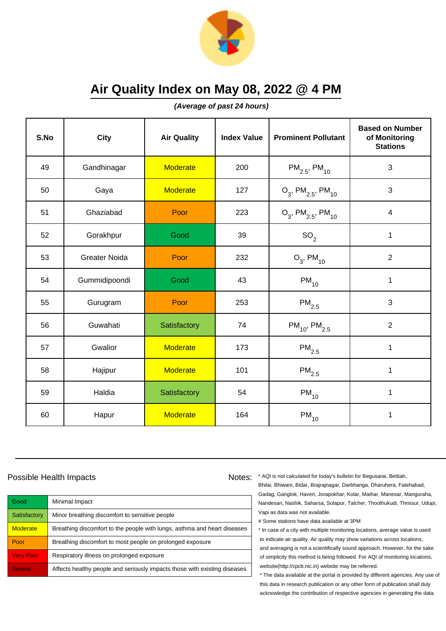

**(Average of past 24 hours)**

| S.No | <b>City</b>          | <b>Air Quality</b> | <b>Index Value</b> | <b>Prominent Pollutant</b>                   | <b>Based on Number</b><br>of Monitoring<br><b>Stations</b> |
|------|----------------------|--------------------|--------------------|----------------------------------------------|------------------------------------------------------------|
| 49   | Gandhinagar          | <b>Moderate</b>    | 200                | $PM_{2.5}$ , PM <sub>10</sub>                | 3                                                          |
| 50   | Gaya                 | <b>Moderate</b>    | 127                | $O_3$ , PM <sub>2.5</sub> , PM <sub>10</sub> | 3                                                          |
| 51   | Ghaziabad            | Poor               | 223                | $O_3$ , PM <sub>2.5</sub> , PM <sub>10</sub> | 4                                                          |
| 52   | Gorakhpur            | Good               | 39                 | SO <sub>2</sub>                              | 1                                                          |
| 53   | <b>Greater Noida</b> | Poor               | 232                | $O_3$ , PM <sub>10</sub>                     | $\overline{2}$                                             |
| 54   | Gummidipoondi        | Good               | 43                 | $PM_{10}$                                    | 1                                                          |
| 55   | Gurugram             | Poor               | 253                | $\mathsf{PM}_{2.5}$                          | 3                                                          |
| 56   | Guwahati             | Satisfactory       | 74                 | $PM_{10}$ , PM <sub>2.5</sub>                | $\overline{2}$                                             |
| 57   | Gwalior              | <b>Moderate</b>    | 173                | $\mathsf{PM}_{2.5}$                          | $\mathbf 1$                                                |
| 58   | Hajipur              | <b>Moderate</b>    | 101                | $\mathsf{PM}_{2.5}$                          | 1                                                          |
| 59   | Haldia               | Satisfactory       | 54                 | $PM_{10}$                                    | 1                                                          |
| 60   | Hapur                | <b>Moderate</b>    | 164                | $PM_{10}$                                    | 1                                                          |

### Possible Health Impacts

Good Minimal Impact Satisfactory | Minor breathing discomfort to sensitive people Moderate **Breathing discomfort to the people with lungs**, asthma and heart diseases Poor Breathing discomfort to most people on prolonged exposure Very Poor Respiratory illness on prolonged exposure Severe **Affects healthy people and seriously impacts those with existing diseases** 

Notes: \* AQI is not calculated for today's bulletin for Begusarai, Bettiah, Bhilai, Bhiwani, Bidar, Brajrajnagar, Darbhanga, Dharuhera, Fatehabad, Gadag, Gangtok, Haveri, Jorapokhar, Kolar, Maihar, Manesar, Manguraha, Nandesari, Nashik, Saharsa, Solapur, Talcher, Thoothukudi, Thrissur, Udupi, Vapi as data was not available.

# Some stations have data available at 3PM

\* In case of a city with multiple monitoring locations, average value is used to indicate air quality. Air quality may show variations across locations, and averaging is not a scientifically sound approach. However, for the sake of simplicity this method is being followed. For AQI of monitoring locations, website(http://cpcb.nic.in) website may be referred.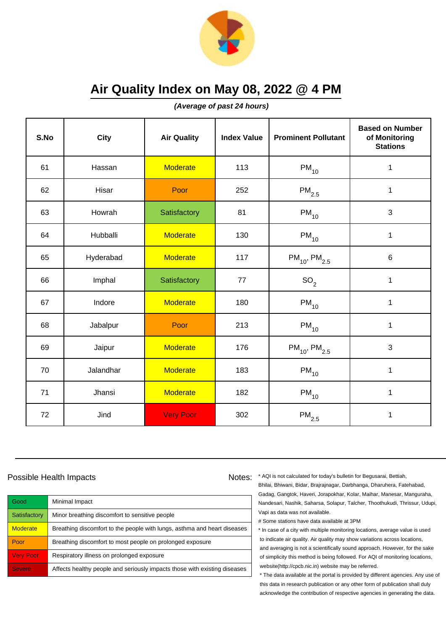

**(Average of past 24 hours)**

| S.No | City      | <b>Air Quality</b> | <b>Index Value</b> | <b>Prominent Pollutant</b>    | <b>Based on Number</b><br>of Monitoring<br><b>Stations</b> |
|------|-----------|--------------------|--------------------|-------------------------------|------------------------------------------------------------|
| 61   | Hassan    | <b>Moderate</b>    | 113                | $PM_{10}$                     | 1                                                          |
| 62   | Hisar     | Poor               | 252                | $\mathsf{PM}_{2.5}$           | $\mathbf{1}$                                               |
| 63   | Howrah    | Satisfactory       | 81                 | $PM_{10}$                     | $\mathbf{3}$                                               |
| 64   | Hubballi  | <b>Moderate</b>    | 130                | $PM_{10}$                     | $\mathbf 1$                                                |
| 65   | Hyderabad | <b>Moderate</b>    | 117                | $PM_{10}$ , PM <sub>2.5</sub> | 6                                                          |
| 66   | Imphal    | Satisfactory       | 77                 | SO <sub>2</sub>               | 1                                                          |
| 67   | Indore    | <b>Moderate</b>    | 180                | $PM_{10}$                     | $\mathbf 1$                                                |
| 68   | Jabalpur  | Poor               | 213                | $PM_{10}$                     | 1                                                          |
| 69   | Jaipur    | <b>Moderate</b>    | 176                | $PM_{10}$ , $PM_{2.5}$        | 3                                                          |
| 70   | Jalandhar | <b>Moderate</b>    | 183                | $PM_{10}$                     | 1                                                          |
| 71   | Jhansi    | <b>Moderate</b>    | 182                | $PM_{10}$                     | 1                                                          |
| 72   | Jind      | <b>Very Poor</b>   | 302                | $\mathsf{PM}_{2.5}$           | 1                                                          |

## Possible Health Impacts

| Good             | Minimal Impact                                                            |
|------------------|---------------------------------------------------------------------------|
| Satisfactory     | Minor breathing discomfort to sensitive people                            |
| <b>Moderate</b>  | Breathing discomfort to the people with lungs, asthma and heart diseases  |
| Poor             | Breathing discomfort to most people on prolonged exposure                 |
| <b>Very Poor</b> | Respiratory illness on prolonged exposure                                 |
| <b>Severe</b>    | Affects healthy people and seriously impacts those with existing diseases |

Notes: \* AQI is not calculated for today's bulletin for Begusarai, Bettiah, Bhilai, Bhiwani, Bidar, Brajrajnagar, Darbhanga, Dharuhera, Fatehabad, Gadag, Gangtok, Haveri, Jorapokhar, Kolar, Maihar, Manesar, Manguraha, Nandesari, Nashik, Saharsa, Solapur, Talcher, Thoothukudi, Thrissur, Udupi, Vapi as data was not available.

# Some stations have data available at 3PM

\* In case of a city with multiple monitoring locations, average value is used to indicate air quality. Air quality may show variations across locations, and averaging is not a scientifically sound approach. However, for the sake of simplicity this method is being followed. For AQI of monitoring locations, website(http://cpcb.nic.in) website may be referred.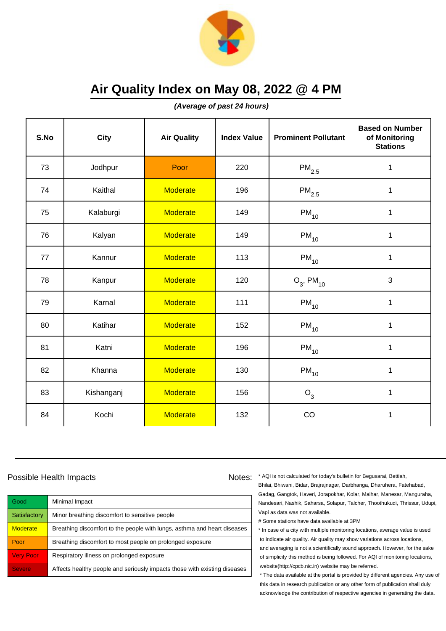

**(Average of past 24 hours)**

| S.No | <b>City</b> | <b>Air Quality</b> | <b>Index Value</b> | <b>Prominent Pollutant</b> | <b>Based on Number</b><br>of Monitoring<br><b>Stations</b> |
|------|-------------|--------------------|--------------------|----------------------------|------------------------------------------------------------|
| 73   | Jodhpur     | Poor               | 220                | $PM_{2.5}$                 | 1                                                          |
| 74   | Kaithal     | <b>Moderate</b>    | 196                | $\mathsf{PM}_{2.5}$        | 1                                                          |
| 75   | Kalaburgi   | <b>Moderate</b>    | 149                | $\mathsf{PM}_{10}$         | $\mathbf{1}$                                               |
| 76   | Kalyan      | <b>Moderate</b>    | 149                | $PM_{10}$                  | 1                                                          |
| 77   | Kannur      | <b>Moderate</b>    | 113                | $PM_{10}$                  | $\mathbf{1}$                                               |
| 78   | Kanpur      | <b>Moderate</b>    | 120                | $O_3$ , PM <sub>10</sub>   | 3                                                          |
| 79   | Karnal      | <b>Moderate</b>    | 111                | $PM_{10}$                  | 1                                                          |
| 80   | Katihar     | <b>Moderate</b>    | 152                | $PM_{10}$                  | 1                                                          |
| 81   | Katni       | <b>Moderate</b>    | 196                | $\mathsf{PM}_{10}$         | $\mathbf 1$                                                |
| 82   | Khanna      | <b>Moderate</b>    | 130                | $PM_{10}$                  | 1                                                          |
| 83   | Kishanganj  | <b>Moderate</b>    | 156                | $O_3$                      | 1                                                          |
| 84   | Kochi       | <b>Moderate</b>    | 132                | CO                         | $\mathbf{1}$                                               |

### Possible Health Impacts

Good Minimal Impact Satisfactory | Minor breathing discomfort to sensitive people Moderate **Breathing discomfort to the people with lungs**, asthma and heart diseases Poor Breathing discomfort to most people on prolonged exposure Very Poor Respiratory illness on prolonged exposure Severe **Affects healthy people and seriously impacts those with existing diseases** 

Notes: \* AQI is not calculated for today's bulletin for Begusarai, Bettiah, Bhilai, Bhiwani, Bidar, Brajrajnagar, Darbhanga, Dharuhera, Fatehabad, Gadag, Gangtok, Haveri, Jorapokhar, Kolar, Maihar, Manesar, Manguraha, Nandesari, Nashik, Saharsa, Solapur, Talcher, Thoothukudi, Thrissur, Udupi, Vapi as data was not available.

# Some stations have data available at 3PM

\* In case of a city with multiple monitoring locations, average value is used to indicate air quality. Air quality may show variations across locations, and averaging is not a scientifically sound approach. However, for the sake of simplicity this method is being followed. For AQI of monitoring locations, website(http://cpcb.nic.in) website may be referred.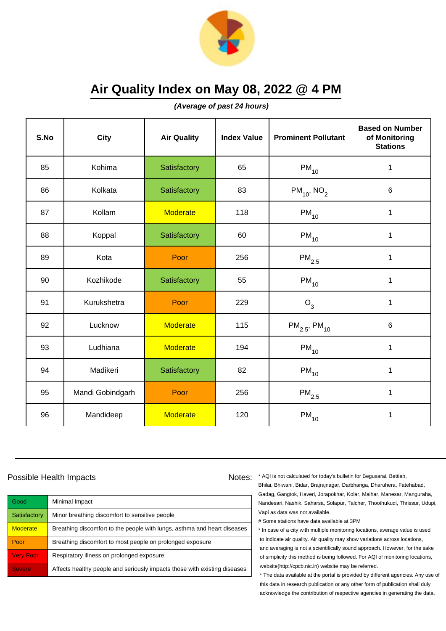

**(Average of past 24 hours)**

| S.No | City             | <b>Air Quality</b> | <b>Index Value</b> | <b>Prominent Pollutant</b>    | <b>Based on Number</b><br>of Monitoring<br><b>Stations</b> |
|------|------------------|--------------------|--------------------|-------------------------------|------------------------------------------------------------|
| 85   | Kohima           | Satisfactory       | 65                 | $PM_{10}$                     | 1                                                          |
| 86   | Kolkata          | Satisfactory       | 83                 | $PM_{10}$ , NO <sub>2</sub>   | 6                                                          |
| 87   | Kollam           | <b>Moderate</b>    | 118                | $PM_{10}$                     | $\mathbf 1$                                                |
| 88   | Koppal           | Satisfactory       | 60                 | $\mathsf{PM}_{10}$            | $\mathbf 1$                                                |
| 89   | Kota             | Poor               | 256                | $\mathsf{PM}_{2.5}$           | $\mathbf 1$                                                |
| 90   | Kozhikode        | Satisfactory       | 55                 | $\mathsf{PM}_{10}$            | 1                                                          |
| 91   | Kurukshetra      | Poor               | 229                | $O_3$                         | 1                                                          |
| 92   | Lucknow          | <b>Moderate</b>    | 115                | $PM_{2.5}$ , PM <sub>10</sub> | $6\phantom{1}$                                             |
| 93   | Ludhiana         | <b>Moderate</b>    | 194                | $PM_{10}$                     | $\mathbf 1$                                                |
| 94   | Madikeri         | Satisfactory       | 82                 | $PM_{10}$                     | 1                                                          |
| 95   | Mandi Gobindgarh | Poor               | 256                | $\mathsf{PM}_{2.5}$           | 1                                                          |
| 96   | Mandideep        | <b>Moderate</b>    | 120                | $PM_{10}$                     | 1                                                          |

## Possible Health Impacts

| Good             | Minimal Impact                                                            |
|------------------|---------------------------------------------------------------------------|
| Satisfactory     | Minor breathing discomfort to sensitive people                            |
| <b>Moderate</b>  | Breathing discomfort to the people with lungs, asthma and heart diseases  |
| Poor             | Breathing discomfort to most people on prolonged exposure                 |
| <b>Very Poor</b> | Respiratory illness on prolonged exposure                                 |
| <b>Severe</b>    | Affects healthy people and seriously impacts those with existing diseases |

Notes: \* AQI is not calculated for today's bulletin for Begusarai, Bettiah, Bhilai, Bhiwani, Bidar, Brajrajnagar, Darbhanga, Dharuhera, Fatehabad, Gadag, Gangtok, Haveri, Jorapokhar, Kolar, Maihar, Manesar, Manguraha, Nandesari, Nashik, Saharsa, Solapur, Talcher, Thoothukudi, Thrissur, Udupi, Vapi as data was not available.

# Some stations have data available at 3PM

\* In case of a city with multiple monitoring locations, average value is used to indicate air quality. Air quality may show variations across locations, and averaging is not a scientifically sound approach. However, for the sake of simplicity this method is being followed. For AQI of monitoring locations, website(http://cpcb.nic.in) website may be referred.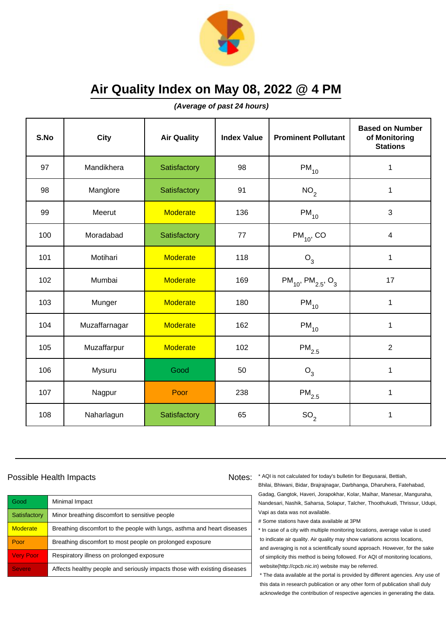

**(Average of past 24 hours)**

| S.No | <b>City</b>   | <b>Air Quality</b> | <b>Index Value</b> | <b>Prominent Pollutant</b>                     | <b>Based on Number</b><br>of Monitoring<br><b>Stations</b> |
|------|---------------|--------------------|--------------------|------------------------------------------------|------------------------------------------------------------|
| 97   | Mandikhera    | Satisfactory       | 98                 | $PM_{10}$                                      | 1                                                          |
| 98   | Manglore      | Satisfactory       | 91                 | NO <sub>2</sub>                                | 1                                                          |
| 99   | Meerut        | <b>Moderate</b>    | 136                | $PM_{10}$                                      | 3                                                          |
| 100  | Moradabad     | Satisfactory       | 77                 | $PM_{10}$ , CO                                 | $\overline{\mathbf{4}}$                                    |
| 101  | Motihari      | <b>Moderate</b>    | 118                | $O_3$                                          | $\mathbf 1$                                                |
| 102  | Mumbai        | <b>Moderate</b>    | 169                | $PM_{10}$ , PM <sub>2.5</sub> , O <sub>3</sub> | 17                                                         |
| 103  | Munger        | <b>Moderate</b>    | 180                | $\mathsf{PM}_{10}$                             | $\mathbf{1}$                                               |
| 104  | Muzaffarnagar | <b>Moderate</b>    | 162                | $PM_{10}$                                      | 1                                                          |
| 105  | Muzaffarpur   | <b>Moderate</b>    | 102                | $\mathsf{PM}_{2.5}$                            | $\overline{2}$                                             |
| 106  | Mysuru        | Good               | 50                 | $O_3$                                          | 1                                                          |
| 107  | Nagpur        | Poor               | 238                | $\mathsf{PM}_{2.5}$                            | $\mathbf{1}$                                               |
| 108  | Naharlagun    | Satisfactory       | 65                 | SO <sub>2</sub>                                | 1                                                          |

### Possible Health Impacts

| Good             | Minimal Impact                                                            |
|------------------|---------------------------------------------------------------------------|
| Satisfactory     | Minor breathing discomfort to sensitive people                            |
| <b>Moderate</b>  | Breathing discomfort to the people with lungs, asthma and heart diseases  |
| Poor             | Breathing discomfort to most people on prolonged exposure                 |
| <b>Very Poor</b> | Respiratory illness on prolonged exposure                                 |
| <b>Severe</b>    | Affects healthy people and seriously impacts those with existing diseases |

Notes: \* AQI is not calculated for today's bulletin for Begusarai, Bettiah, Bhilai, Bhiwani, Bidar, Brajrajnagar, Darbhanga, Dharuhera, Fatehabad, Gadag, Gangtok, Haveri, Jorapokhar, Kolar, Maihar, Manesar, Manguraha, Nandesari, Nashik, Saharsa, Solapur, Talcher, Thoothukudi, Thrissur, Udupi, Vapi as data was not available.

# Some stations have data available at 3PM

\* In case of a city with multiple monitoring locations, average value is used to indicate air quality. Air quality may show variations across locations, and averaging is not a scientifically sound approach. However, for the sake of simplicity this method is being followed. For AQI of monitoring locations, website(http://cpcb.nic.in) website may be referred.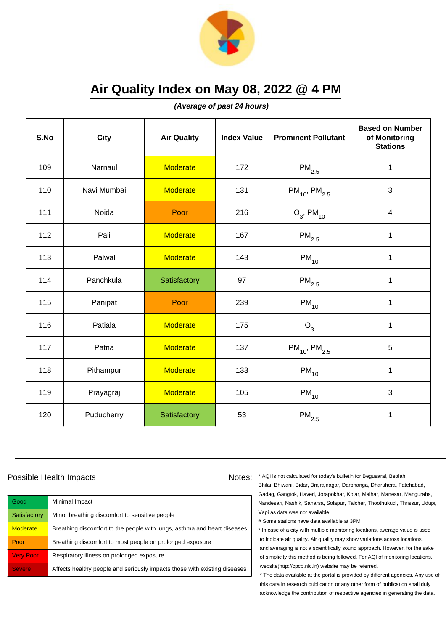

**(Average of past 24 hours)**

| S.No | City        | <b>Air Quality</b> | <b>Index Value</b> | <b>Prominent Pollutant</b>    | <b>Based on Number</b><br>of Monitoring<br><b>Stations</b> |
|------|-------------|--------------------|--------------------|-------------------------------|------------------------------------------------------------|
| 109  | Narnaul     | <b>Moderate</b>    | 172                | $\mathsf{PM}_{2.5}$           | 1                                                          |
| 110  | Navi Mumbai | <b>Moderate</b>    | 131                | $PM_{10}$ , PM <sub>2.5</sub> | 3                                                          |
| 111  | Noida       | Poor               | 216                | $O_3$ , PM <sub>10</sub>      | $\overline{\mathbf{4}}$                                    |
| 112  | Pali        | <b>Moderate</b>    | 167                | $\mathsf{PM}_{2.5}$           | 1                                                          |
| 113  | Palwal      | <b>Moderate</b>    | 143                | $PM_{10}$                     | $\mathbf{1}$                                               |
| 114  | Panchkula   | Satisfactory       | 97                 | $\mathsf{PM}_{2.5}$           | 1                                                          |
| 115  | Panipat     | Poor               | 239                | $PM_{10}$                     | 1                                                          |
| 116  | Patiala     | <b>Moderate</b>    | 175                | $O_3$                         | 1                                                          |
| 117  | Patna       | <b>Moderate</b>    | 137                | $PM_{10}$ , PM <sub>2.5</sub> | 5                                                          |
| 118  | Pithampur   | <b>Moderate</b>    | 133                | $PM_{10}$                     | 1                                                          |
| 119  | Prayagraj   | <b>Moderate</b>    | 105                | $PM_{10}$                     | 3                                                          |
| 120  | Puducherry  | Satisfactory       | 53                 | $\mathsf{PM}_{2.5}$           | 1                                                          |

## Possible Health Impacts

| Good             | Minimal Impact                                                            |
|------------------|---------------------------------------------------------------------------|
| Satisfactory     | Minor breathing discomfort to sensitive people                            |
| <b>Moderate</b>  | Breathing discomfort to the people with lungs, asthma and heart diseases  |
| Poor             | Breathing discomfort to most people on prolonged exposure                 |
| <b>Very Poor</b> | Respiratory illness on prolonged exposure                                 |
| <b>Severe</b>    | Affects healthy people and seriously impacts those with existing diseases |

Notes: \* AQI is not calculated for today's bulletin for Begusarai, Bettiah, Bhilai, Bhiwani, Bidar, Brajrajnagar, Darbhanga, Dharuhera, Fatehabad, Gadag, Gangtok, Haveri, Jorapokhar, Kolar, Maihar, Manesar, Manguraha, Nandesari, Nashik, Saharsa, Solapur, Talcher, Thoothukudi, Thrissur, Udupi, Vapi as data was not available.

# Some stations have data available at 3PM

\* In case of a city with multiple monitoring locations, average value is used to indicate air quality. Air quality may show variations across locations, and averaging is not a scientifically sound approach. However, for the sake of simplicity this method is being followed. For AQI of monitoring locations, website(http://cpcb.nic.in) website may be referred.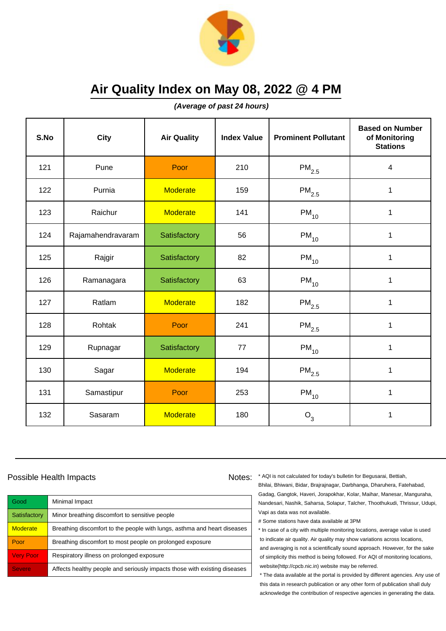

**(Average of past 24 hours)**

| S.No | <b>City</b>       | <b>Air Quality</b> | <b>Index Value</b> | <b>Prominent Pollutant</b> | <b>Based on Number</b><br>of Monitoring<br><b>Stations</b> |
|------|-------------------|--------------------|--------------------|----------------------------|------------------------------------------------------------|
| 121  | Pune              | Poor               | 210                | $\mathsf{PM}_{2.5}$        | 4                                                          |
| 122  | Purnia            | <b>Moderate</b>    | 159                | $PM_{2.5}$                 | $\mathbf 1$                                                |
| 123  | Raichur           | <b>Moderate</b>    | 141                | $\mathsf{PM}_{10}$         | 1                                                          |
| 124  | Rajamahendravaram | Satisfactory       | 56                 | $PM_{10}$                  | 1                                                          |
| 125  | Rajgir            | Satisfactory       | 82                 | $PM_{10}$                  | $\mathbf{1}$                                               |
| 126  | Ramanagara        | Satisfactory       | 63                 | $\mathsf{PM}_{10}$         | 1                                                          |
| 127  | Ratlam            | <b>Moderate</b>    | 182                | $\mathsf{PM}_{2.5}$        | $\mathbf 1$                                                |
| 128  | Rohtak            | Poor               | 241                | $PM_{2.5}$                 | $\mathbf 1$                                                |
| 129  | Rupnagar          | Satisfactory       | 77                 | $PM_{10}$                  | $\mathbf 1$                                                |
| 130  | Sagar             | <b>Moderate</b>    | 194                | $\mathsf{PM}_{2.5}$        | 1                                                          |
| 131  | Samastipur        | Poor               | 253                | $PM_{10}$                  | 1                                                          |
| 132  | Sasaram           | <b>Moderate</b>    | 180                | $O_3$                      | 1                                                          |

## Possible Health Impacts

| Good             | Minimal Impact                                                            |
|------------------|---------------------------------------------------------------------------|
| Satisfactory     | Minor breathing discomfort to sensitive people                            |
| <b>Moderate</b>  | Breathing discomfort to the people with lungs, asthma and heart diseases  |
| Poor             | Breathing discomfort to most people on prolonged exposure                 |
| <b>Very Poor</b> | Respiratory illness on prolonged exposure                                 |
| <b>Severe</b>    | Affects healthy people and seriously impacts those with existing diseases |

Notes: \* AQI is not calculated for today's bulletin for Begusarai, Bettiah, Bhilai, Bhiwani, Bidar, Brajrajnagar, Darbhanga, Dharuhera, Fatehabad, Gadag, Gangtok, Haveri, Jorapokhar, Kolar, Maihar, Manesar, Manguraha, Nandesari, Nashik, Saharsa, Solapur, Talcher, Thoothukudi, Thrissur, Udupi, Vapi as data was not available.

# Some stations have data available at 3PM

\* In case of a city with multiple monitoring locations, average value is used to indicate air quality. Air quality may show variations across locations, and averaging is not a scientifically sound approach. However, for the sake of simplicity this method is being followed. For AQI of monitoring locations, website(http://cpcb.nic.in) website may be referred.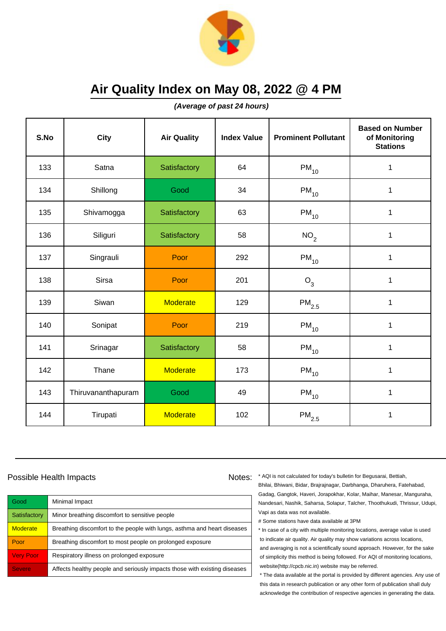

**(Average of past 24 hours)**

| S.No | <b>City</b>        | <b>Air Quality</b> | <b>Index Value</b> | <b>Prominent Pollutant</b> | <b>Based on Number</b><br>of Monitoring<br><b>Stations</b> |
|------|--------------------|--------------------|--------------------|----------------------------|------------------------------------------------------------|
| 133  | Satna              | Satisfactory       | 64                 | $PM_{10}$                  | 1                                                          |
| 134  | Shillong           | Good               | 34                 | $PM_{10}$                  | 1                                                          |
| 135  | Shivamogga         | Satisfactory       | 63                 | $\mathsf{PM}_{10}$         | $\mathbf 1$                                                |
| 136  | Siliguri           | Satisfactory       | 58                 | NO <sub>2</sub>            | $\mathbf 1$                                                |
| 137  | Singrauli          | Poor               | 292                | $PM_{10}$                  | $\mathbf 1$                                                |
| 138  | <b>Sirsa</b>       | Poor               | 201                | $O_3$                      | 1                                                          |
| 139  | Siwan              | <b>Moderate</b>    | 129                | $\mathsf{PM}_{2.5}$        | 1                                                          |
| 140  | Sonipat            | Poor               | 219                | $PM_{10}$                  | 1                                                          |
| 141  | Srinagar           | Satisfactory       | 58                 | $\mathsf{PM}_{10}$         | $\mathbf 1$                                                |
| 142  | Thane              | <b>Moderate</b>    | 173                | $\mathsf{PM}_{10}$         | 1                                                          |
| 143  | Thiruvananthapuram | Good               | 49                 | $PM_{10}$                  | 1                                                          |
| 144  | Tirupati           | <b>Moderate</b>    | 102                | $\mathsf{PM}_{2.5}$        | 1                                                          |

## Possible Health Impacts

| Good             | Minimal Impact                                                            |
|------------------|---------------------------------------------------------------------------|
| Satisfactory     | Minor breathing discomfort to sensitive people                            |
| <b>Moderate</b>  | Breathing discomfort to the people with lungs, asthma and heart diseases  |
| Poor             | Breathing discomfort to most people on prolonged exposure                 |
| <b>Very Poor</b> | Respiratory illness on prolonged exposure                                 |
| <b>Severe</b>    | Affects healthy people and seriously impacts those with existing diseases |

Notes: \* AQI is not calculated for today's bulletin for Begusarai, Bettiah, Bhilai, Bhiwani, Bidar, Brajrajnagar, Darbhanga, Dharuhera, Fatehabad, Gadag, Gangtok, Haveri, Jorapokhar, Kolar, Maihar, Manesar, Manguraha, Nandesari, Nashik, Saharsa, Solapur, Talcher, Thoothukudi, Thrissur, Udupi, Vapi as data was not available.

# Some stations have data available at 3PM

\* In case of a city with multiple monitoring locations, average value is used to indicate air quality. Air quality may show variations across locations, and averaging is not a scientifically sound approach. However, for the sake of simplicity this method is being followed. For AQI of monitoring locations, website(http://cpcb.nic.in) website may be referred.